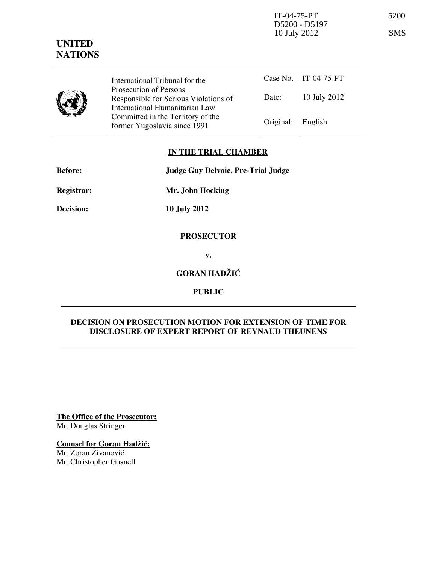IT-04-75-PT 5200 D5200 - D5197 10 July 2012 SMS

# UNITED **NATIONS**

International Tribunal for the Prosecution of Persons Responsible for Serious Violations of International Humanitarian Law

Case No. IT-04-75-PT Date: 10 July 2012 Former Yugoslavia since 1991 **Original:** English

## IN THE TRIAL CHAMBER

| <b>Before:</b> | Judge Guy Delvoie, Pre-Trial Judge |
|----------------|------------------------------------|
|                |                                    |

Committed in the Territory of the

Registrar: Mr. John Hocking

Decision: 10 July 2012

#### **PROSECUTOR**

v.

# GORAN HADŽIĆ

PUBLIC

### DECISION ON PROSECUTION MOTION FOR EXTENSION OF TIME FOR DISCLOSURE OF EXPERT REPORT OF REYNAUD THEUNENS

The Office of the Prosecutor: Mr. Douglas Stringer

Counsel for Goran Hadžić: Mr. Zoran Živanović

Mr. Christopher Gosnell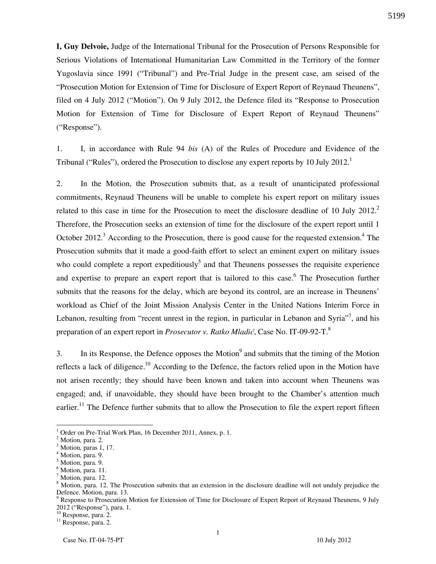I, Guy Delvoie, Judge of the International Tribunal for the Prosecution of Persons Responsible for Serious Violations of International Humanitarian Law Committed in the Territory of the former Yugoslavia since 1991 ("Tribunal") and Pre-Trial Judge in the present case, am seised of the "Prosecution Motion for Extension of Time for Disclosure of Expert Report of Reynaud Theunens", filed on 4 July 2012 ("Motion"). On 9 July 2012, the Defence filed its "Response to Prosecution Motion for Extension of Time for Disclosure of Expert Report of Reynaud Theunens" ("Response").

1. I, in accordance with Rule 94 bis (A) of the Rules of Procedure and Evidence of the Tribunal ("Rules"), ordered the Prosecution to disclose any expert reports by 10 July 2012.<sup>1</sup>

2. In the Motion, the Prosecution submits that, as a result of unanticipated professional commitments, Reynaud Theunens will be unable to complete his expert report on military issues related to this case in time for the Prosecution to meet the disclosure deadline of 10 July 2012.<sup>2</sup> Therefore, the Prosecution seeks an extension of time for the disclosure of the expert report until 1 October 2012.<sup>3</sup> According to the Prosecution, there is good cause for the requested extension.<sup>4</sup> The Prosecution submits that it made a good-faith effort to select an eminent expert on military issues who could complete a report expeditiously<sup>5</sup> and that Theunens possesses the requisite experience and expertise to prepare an expert report that is tailored to this case.<sup>6</sup> The Prosecution further submits that the reasons for the delay, which are beyond its control, are an increase in Theunens' workload as Chief of the Joint Mission Analysis Center in the United Nations Interim Force in Lebanon, resulting from "recent unrest in the region, in particular in Lebanon and Syria"<sup>7</sup>, and his preparation of an expert report in *Prosecutor v. Ratko Mladić*, Case No. IT-09-92-T.<sup>8</sup>

3. In its Response, the Defence opposes the Motion<sup>9</sup> and submits that the timing of the Motion reflects a lack of diligence.<sup>10</sup> According to the Defence, the factors relied upon in the Motion have not arisen recently; they should have been known and taken into account when Theunens was engaged; and, if unavoidable, they should have been brought to the Chamber's attention much earlier.<sup>11</sup> The Defence further submits that to allow the Prosecution to file the expert report fifteen

<sup>10</sup> Response, para. 2.

<sup>&</sup>lt;sup>1</sup> Order on Pre-Trial Work Plan, 16 December 2011, Annex, p. 1.

<sup>&</sup>lt;sup>2</sup> Motion, para. 2.

<sup>&</sup>lt;sup>3</sup> Motion, paras 1, 17.

<sup>4</sup> Motion, para. 9.

<sup>&</sup>lt;sup>5</sup> Motion, para. 9.

 $<sup>6</sup>$  Motion, para. 11.</sup>

<sup>&</sup>lt;sup>7</sup> Motion, para. 12.

<sup>&</sup>lt;sup>8</sup> Motion, para. 12. The Prosecution submits that an extension in the disclosure deadline will not unduly prejudice the Defence. Motion, para. 13.

<sup>&</sup>lt;sup>9</sup> Response to Prosecution Motion for Extension of Time for Disclosure of Expert Report of Reynaud Theunens, 9 July 2012 ("Response"), para. 1.

<sup>&</sup>lt;sup>11</sup> Response, para. 2.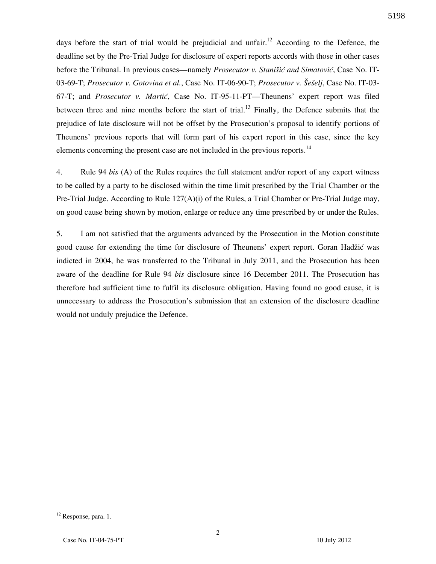days before the start of trial would be prejudicial and unfair.<sup>12</sup> According to the Defence, the deadline set by the Pre-Trial Judge for disclosure of expert reports accords with those in other cases before the Tribunal. In previous cases—namely *Prosecutor v. Stanišić and Simatović*, Case No. IT-03-69-T; Prosecutor v. Gotovina et al., Case No. IT-06-90-T; Prosecutor v. Šešeli, Case No. IT-03-67-T; and Prosecutor v. Martić, Case No. IT-95-11-PT—Theunens' expert report was filed between three and nine months before the start of trial.<sup>13</sup> Finally, the Defence submits that the prejudice of late disclosure will not be offset by the Prosecution's proposal to identify portions of Theunens' previous reports that will form part of his expert report in this case, since the key elements concerning the present case are not included in the previous reports.<sup>14</sup>

4. Rule 94 bis (A) of the Rules requires the full statement and/or report of any expert witness to be called by a party to be disclosed within the time limit prescribed by the Trial Chamber or the Pre-Trial Judge. According to Rule  $127(A)(i)$  of the Rules, a Trial Chamber or Pre-Trial Judge may, on good cause being shown by motion, enlarge or reduce any time prescribed by or under the Rules.

5. I am not satisfied that the arguments advanced by the Prosecution in the Motion constitute good cause for extending the time for disclosure of Theunens' expert report. Goran Hadžić was indicted in 2004, he was transferred to the Tribunal in July 2011, and the Prosecution has been aware of the deadline for Rule 94 bis disclosure since 16 December 2011. The Prosecution has therefore had sufficient time to fulfil its disclosure obligation. Having found no good cause, it is unnecessary to address the Prosecution's submission that an extension of the disclosure deadline would not unduly prejudice the Defence.

5198

 $\overline{a}$  $12$  Response, para. 1.